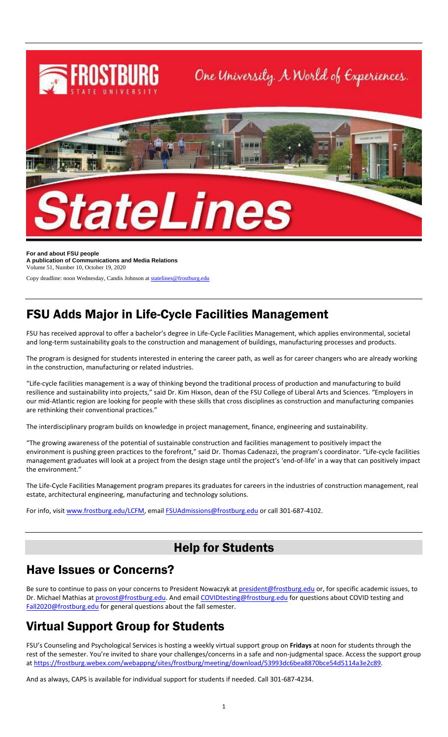

**For and about FSU people A publication of Communications and Media Relations** Volume 51, Number 10, October 19, 2020

Copy deadline: noon Wednesday, Candis Johnson a[t statelines@frostburg.edu](mailto:statelines@frostburg.edu)

# FSU Adds Major in Life-Cycle Facilities Management

FSU has received approval to offer a bachelor's degree in Life-Cycle Facilities Management, which applies environmental, societal and long-term sustainability goals to the construction and management of buildings, manufacturing processes and products.

The program is designed for students interested in entering the career path, as well as for career changers who are already working in the construction, manufacturing or related industries.

"Life-cycle facilities management is a way of thinking beyond the traditional process of production and manufacturing to build resilience and sustainability into projects," said Dr. Kim Hixson, dean of the FSU College of Liberal Arts and Sciences. "Employers in our mid-Atlantic region are looking for people with these skills that cross disciplines as construction and manufacturing companies are rethinking their conventional practices."

The interdisciplinary program builds on knowledge in project management, finance, engineering and sustainability.

"The growing awareness of the potential of sustainable construction and facilities management to positively impact the environment is pushing green practices to the forefront," said Dr. Thomas Cadenazzi, the program's coordinator. "Life-cycle facilities management graduates will look at a project from the design stage until the project's 'end-of-life' in a way that can positively impact the environment."

The Life-Cycle Facilities Management program prepares its graduates for careers in the industries of construction management, real estate, architectural engineering, manufacturing and technology solutions.

For info, visit [www.frostburg.edu/LCFM,](http://www.frostburg.edu/LCFM) emai[l FSUAdmissions@frostburg.edu](mailto:FSUAdmissions@frostburg.edu) or call 301-687-4102.

# Help for Students

### Have Issues or Concerns?

Be sure to continue to pass on your concerns to President Nowaczyk a[t president@frostburg.edu](mailto:president@frostburg.edu) or, for specific academic issues, to Dr. Michael Mathias a[t provost@frostburg.edu.](mailto:provost@frostburg.edu) And emai[l COVIDtesting@frostburg.edu](mailto:COVIDtesting@frostburg.edu) for questions about COVID testing and [Fall2020@frostburg.edu](mailto:Fall2020@frostburg.edu) for general questions about the fall semester.

# Virtual Support Group for Students

FSU's Counseling and Psychological Services is hosting a weekly virtual support group on **Fridays** at noon for students through the rest of the semester. You're invited to share your challenges/concerns in a safe and non-judgmental space. Access the support group a[t https://frostburg.webex.com/webappng/sites/frostburg/meeting/download/53993dc6bea8870bce54d5114a3e2c89.](https://frostburg.webex.com/webappng/sites/frostburg/meeting/download/53993dc6bea8870bce54d5114a3e2c89)

And as always, CAPS is available for individual support for students if needed. Call 301-687-4234.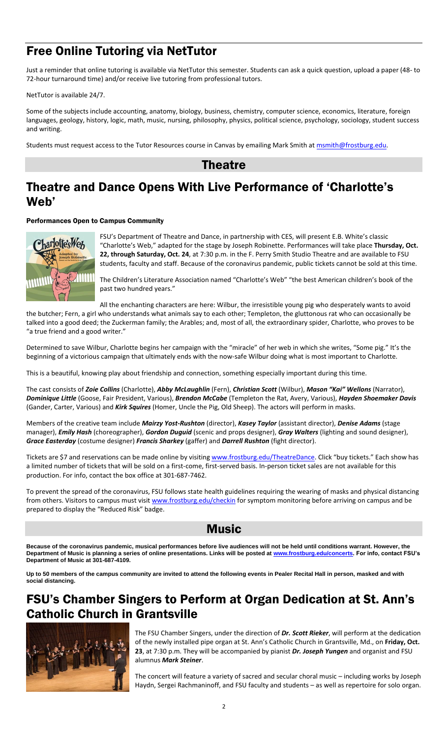# Free Online Tutoring via NetTutor

Just a reminder that online tutoring is available via NetTutor this semester. Students can ask a quick question, upload a paper (48- to 72-hour turnaround time) and/or receive live tutoring from professional tutors.

### NetTutor is available 24/7.

Some of the subjects include accounting, anatomy, biology, business, chemistry, computer science, economics, literature, foreign languages, geology, history, logic, math, music, nursing, philosophy, physics, political science, psychology, sociology, student success and writing.

Students must request access to the Tutor Resources course in Canvas by emailing Mark Smith a[t msmith@frostburg.edu.](mailto:msmith@frostburg.edu)

### **Theatre**

# Theatre and Dance Opens With Live Performance of 'Charlotte's Web'

### Performances Open to Campus Community



FSU's Department of Theatre and Dance, in partnership with CES, will present E.B. White's classic "Charlotte's Web," adapted for the stage by Joseph Robinette. Performances will take place **Thursday, Oct. 22, through Saturday, Oct. 24**, at 7:30 p.m. in the F. Perry Smith Studio Theatre and are available to FSU students, faculty and staff. Because of the coronavirus pandemic, public tickets cannot be sold at this time.

The Children's Literature Association named "Charlotte's Web" "the best American children's book of the past two hundred years."

All the enchanting characters are here: Wilbur, the irresistible young pig who desperately wants to avoid

the butcher; Fern, a girl who understands what animals say to each other; Templeton, the gluttonous rat who can occasionally be talked into a good deed; the Zuckerman family; the Arables; and, most of all, the extraordinary spider, Charlotte, who proves to be "a true friend and a good writer."

Determined to save Wilbur, Charlotte begins her campaign with the "miracle" of her web in which she writes, "Some pig." It's the beginning of a victorious campaign that ultimately ends with the now-safe Wilbur doing what is most important to Charlotte.

This is a beautiful, knowing play about friendship and connection, something especially important during this time.

The cast consists of *Zoie Collins* (Charlotte), *Abby McLaughlin* (Fern), *Christian Scott* (Wilbur), *Mason "Kai" Wellons* (Narrator), *Dominique Little* (Goose, Fair President, Various), *Brendon McCabe* (Templeton the Rat, Avery, Various), *Hayden Shoemaker Davis* (Gander, Carter, Various) and *Kirk Squires* (Homer, Uncle the Pig, Old Sheep). The actors will perform in masks.

Members of the creative team include *Mairzy Yost-Rushton* (director), *Kasey Taylor* (assistant director), *Denise Adams* (stage manager), *Emily Hash* (choreographer), *Gordon Duguid* (scenic and props designer), *Gray Walters* (lighting and sound designer), *Grace Easterday* (costume designer) *Francis Sharkey* (gaffer) and *Darrell Rushton* (fight director).

Tickets are \$7 and reservations can be made online by visiting [www.frostburg.edu/TheatreDance](http://www.frostburg.edu/TheatreDance). Click "buy tickets." Each show has a limited number of tickets that will be sold on a first-come, first-served basis. In-person ticket sales are not available for this production. For info, contact the box office at 301-687-7462.

To prevent the spread of the coronavirus, FSU follows state health guidelines requiring the wearing of masks and physical distancing from others. Visitors to campus must visi[t www.frostburg.edu/checkin](http://www.frostburg.edu/checkin) for symptom monitoring before arriving on campus and be prepared to display the "Reduced Risk" badge.

### **Music**

**Because of the coronavirus pandemic, musical performances before live audiences will not be held until conditions warrant. However, the Department of Music is planning a series of online presentations. Links will be posted at [www.frostburg.edu/concerts.](http://www.frostburg.edu/concerts) For info, contact FSU's Department of Music at 301-687-4109.**

**Up to 50 members of the campus community are invited to attend the following events in Pealer Recital Hall in person, masked and with social distancing.**

# FSU's Chamber Singers to Perform at Organ Dedication at St. Ann's Catholic Church in Grantsville



The FSU Chamber Singers, under the direction of *Dr. Scott Rieker*, will perform at the dedication of the newly installed pipe organ at St. Ann's Catholic Church in Grantsville, Md., on **Friday, Oct. 23**, at 7:30 p.m. They will be accompanied by pianist *Dr. Joseph Yungen* and organist and FSU alumnus *Mark Steiner*.

The concert will feature a variety of sacred and secular choral music – including works by Joseph Haydn, Sergei Rachmaninoff, and FSU faculty and students – as well as repertoire for solo organ.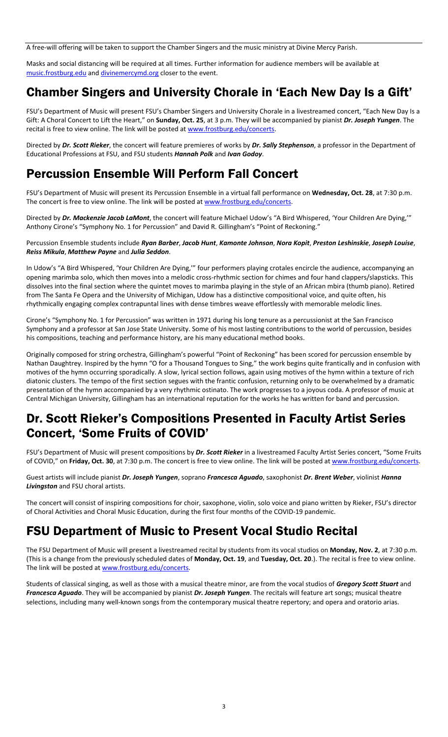A free-will offering will be taken to support the Chamber Singers and the music ministry at Divine Mercy Parish.

Masks and social distancing will be required at all times. Further information for audience members will be available at [music.frostburg.edu](https://www.frostburg.edu/academics/colleges-and-departments/music) and [divinemercymd.org](http://divinemercymd.org/) closer to the event.

# Chamber Singers and University Chorale in 'Each New Day Is a Gift'

FSU's Department of Music will present FSU's Chamber Singers and University Chorale in a livestreamed concert, "Each New Day Is a Gift: A Choral Concert to Lift the Heart," on **Sunday, Oct. 25**, at 3 p.m. They will be accompanied by pianist *Dr. Joseph Yungen*. The recital is free to view online. The link will be posted a[t www.frostburg.edu/concerts.](http://www.frostburg.edu/concerts)

Directed by *Dr. Scott Rieker*, the concert will feature premieres of works by *Dr. Sally Stephenson*, a professor in the Department of Educational Professions at FSU, and FSU students *Hannah Polk* and *Ivan Godoy*.

# Percussion Ensemble Will Perform Fall Concert

FSU's Department of Music will present its Percussion Ensemble in a virtual fall performance on **Wednesday, Oct. 28**, at 7:30 p.m. The concert is free to view online. The link will be posted a[t www.frostburg.edu/concerts.](http://www.frostburg.edu/concerts)

Directed by *Dr. Mackenzie Jacob LaMont*, the concert will feature Michael Udow's "A Bird Whispered, 'Your Children Are Dying,'" Anthony Cirone's "Symphony No. 1 for Percussion" and David R. Gillingham's "Point of Reckoning."

Percussion Ensemble students include *Ryan Barber*, *Jacob Hunt*, *Kamonte Johnson*, *Nora Kopit*, *Preston Leshinskie*, *Joseph Louise*, *Reiss Mikula*, *Matthew Payne* and *Julia Seddon*.

In Udow's "A Bird Whispered, 'Your Children Are Dying,'" four performers playing crotales encircle the audience, accompanying an opening marimba solo, which then moves into a melodic cross-rhythmic section for chimes and four hand clappers/slapsticks. This dissolves into the final section where the quintet moves to marimba playing in the style of an African mbira (thumb piano). Retired from The Santa Fe Opera and the University of Michigan, Udow has a distinctive compositional voice, and quite often, his rhythmically engaging complex contrapuntal lines with dense timbres weave effortlessly with memorable melodic lines.

Cirone's "Symphony No. 1 for Percussion" was written in 1971 during his long tenure as a percussionist at the San Francisco Symphony and a professor at San Jose State University. Some of his most lasting contributions to the world of percussion, besides his compositions, teaching and performance history, are his many educational method books.

Originally composed for string orchestra, Gillingham's powerful "Point of Reckoning" has been scored for percussion ensemble by Nathan Daughtrey. Inspired by the hymn "O for a Thousand Tongues to Sing," the work begins quite frantically and in confusion with motives of the hymn occurring sporadically. A slow, lyrical section follows, again using motives of the hymn within a texture of rich diatonic clusters. The tempo of the first section segues with the frantic confusion, returning only to be overwhelmed by a dramatic presentation of the hymn accompanied by a very rhythmic ostinato. The work progresses to a joyous coda. A professor of music at Central Michigan University, Gillingham has an international reputation for the works he has written for band and percussion.

# Dr. Scott Rieker's Compositions Presented in Faculty Artist Series Concert, 'Some Fruits of COVID'

FSU's Department of Music will present compositions by *Dr. Scott Rieker* in a livestreamed Faculty Artist Series concert, "Some Fruits of COVID," on **Friday, Oct. 30**, at 7:30 p.m. The concert is free to view online. The link will be posted at [www.frostburg.edu/concerts.](http://www.frostburg.edu/concerts)

Guest artists will include pianist *Dr. Joseph Yungen*, soprano *Francesca Aguado*, saxophonist *Dr. Brent Weber*, violinist *Hanna Livingston* and FSU choral artists.

The concert will consist of inspiring compositions for choir, saxophone, violin, solo voice and piano written by Rieker, FSU's director of Choral Activities and Choral Music Education, during the first four months of the COVID-19 pandemic.

# FSU Department of Music to Present Vocal Studio Recital

The FSU Department of Music will present a livestreamed recital by students from its vocal studios on **Monday, Nov. 2**, at 7:30 p.m. (This is a change from the previously scheduled dates of **Monday, Oct. 19**, and **Tuesday, Oct. 20**.). The recital is free to view online. The link will be posted a[t www.frostburg.edu/concerts.](http://www.frostburg.edu/concerts)

Students of classical singing, as well as those with a musical theatre minor, are from the vocal studios of *Gregory Scott Stuart* and *Francesca Aguado*. They will be accompanied by pianist *Dr. Joseph Yungen*. The recitals will feature art songs; musical theatre selections, including many well-known songs from the contemporary musical theatre repertory; and opera and oratorio arias.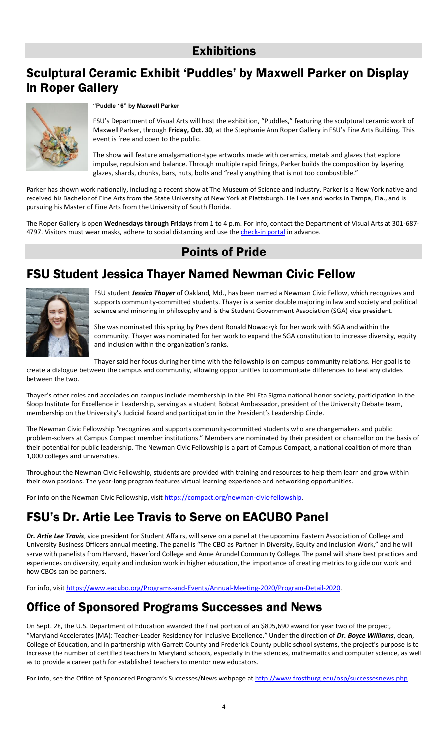# **Exhibitions**

# Sculptural Ceramic Exhibit 'Puddles' by Maxwell Parker on Display in Roper Gallery



### **"Puddle 16" by Maxwell Parker**

FSU's Department of Visual Arts will host the exhibition, "Puddles," featuring the sculptural ceramic work of Maxwell Parker, through **Friday, Oct. 30**, at the Stephanie Ann Roper Gallery in FSU's Fine Arts Building. This event is free and open to the public.

The show will feature amalgamation-type artworks made with ceramics, metals and glazes that explore impulse, repulsion and balance. Through multiple rapid firings, Parker builds the composition by layering glazes, shards, chunks, bars, nuts, bolts and "really anything that is not too combustible."

Parker has shown work nationally, including a recent show at The Museum of Science and Industry. Parker is a New York native and received his Bachelor of Fine Arts from the State University of New York at Plattsburgh. He lives and works in Tampa, Fla., and is pursuing his Master of Fine Arts from the University of South Florida.

The Roper Gallery is open **Wednesdays through Fridays** from 1 to 4 p.m. For info, contact the Department of Visual Arts at 301-687 4797. Visitors must wear masks, adhere to social distancing and use the [check-in portal](https://itoc.frostburg.edu/checkin/) in advance.

### Points of Pride

# FSU Student Jessica Thayer Named Newman Civic Fellow



FSU student *Jessica Thayer* of Oakland, Md., has been named a Newman Civic Fellow, which recognizes and supports community-committed students. Thayer is a senior double majoring in law and society and political science and minoring in philosophy and is the Student Government Association (SGA) vice president.

She was nominated this spring by President Ronald Nowaczyk for her work with SGA and within the community. Thayer was nominated for her work to expand the SGA constitution to increase diversity, equity and inclusion within the organization's ranks.

Thayer said her focus during her time with the fellowship is on campus-community relations. Her goal is to create a dialogue between the campus and community, allowing opportunities to communicate differences to heal any divides between the two.

Thayer's other roles and accolades on campus include membership in the Phi Eta Sigma national honor society, participation in the Sloop Institute for Excellence in Leadership, serving as a student Bobcat Ambassador, president of the University Debate team, membership on the University's Judicial Board and participation in the President's Leadership Circle.

The Newman Civic Fellowship "recognizes and supports community-committed students who are changemakers and public problem-solvers at Campus Compact member institutions." Members are nominated by their president or chancellor on the basis of their potential for public leadership. The Newman Civic Fellowship is a part of Campus Compact, a national coalition of more than 1,000 colleges and universities.

Throughout the Newman Civic Fellowship, students are provided with training and resources to help them learn and grow within their own passions. The year-long program features virtual learning experience and networking opportunities.

For info on the Newman Civic Fellowship, visit [https://compact.org/newman-civic-fellowship.](https://compact.org/newman-civic-fellowship)

# FSU's Dr. Artie Lee Travis to Serve on EACUBO Panel

*Dr. Artie Lee Travis*, vice president for Student Affairs, will serve on a panel at the upcoming Eastern Association of College and University Business Officers annual meeting. The panel is "The CBO as Partner in Diversity, Equity and Inclusion Work," and he will serve with panelists from Harvard, Haverford College and Anne Arundel Community College. The panel will share best practices and experiences on diversity, equity and inclusion work in higher education, the importance of creating metrics to guide our work and how CBOs can be partners.

For info, visit [https://www.eacubo.org/Programs-and-Events/Annual-Meeting-2020/Program-Detail-2020.](https://www.eacubo.org/Programs-and-Events/Annual-Meeting-2020/Program-Detail-2020)

# Office of Sponsored Programs Successes and News

On Sept. 28, the U.S. Department of Education awarded the final portion of an \$805,690 award for year two of the project, "Maryland Accelerates (MA): Teacher-Leader Residency for Inclusive Excellence." Under the direction of *Dr. Boyce Williams*, dean, College of Education, and in partnership with Garrett County and Frederick County public school systems, the project's purpose is to increase the number of certified teachers in Maryland schools, especially in the sciences, mathematics and computer science, as well as to provide a career path for established teachers to mentor new educators.

For info, see the Office of Sponsored Program's Successes/News webpage at [http://www.frostburg.edu/osp/successesnews.php.](http://www.frostburg.edu/osp/successesnews.php)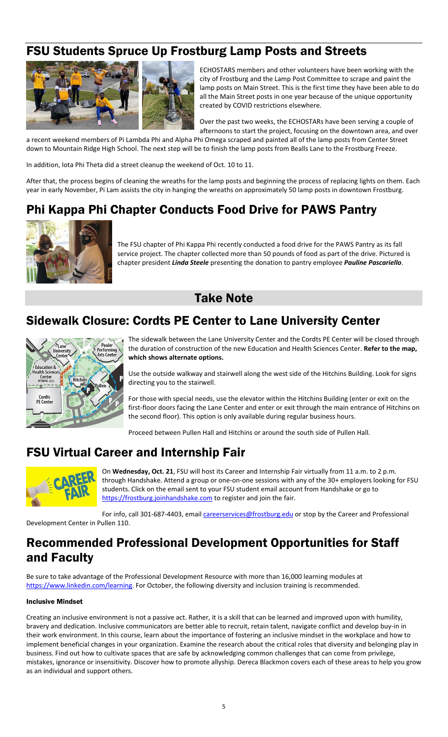# FSU Students Spruce Up Frostburg Lamp Posts and Streets



ECHOSTARS members and other volunteers have been working with the city of Frostburg and the Lamp Post Committee to scrape and paint the lamp posts on Main Street. This is the first time they have been able to do all the Main Street posts in one year because of the unique opportunity created by COVID restrictions elsewhere.

Over the past two weeks, the ECHOSTARs have been serving a couple of afternoons to start the project, focusing on the downtown area, and over

a recent weekend members of Pi Lambda Phi and Alpha Phi Omega scraped and painted all of the lamp posts from Center Street down to Mountain Ridge High School. The next step will be to finish the lamp posts from Bealls Lane to the Frostburg Freeze.

In addition, Iota Phi Theta did a street cleanup the weekend of Oct. 10 to 11.

After that, the process begins of cleaning the wreaths for the lamp posts and beginning the process of replacing lights on them. Each year in early November, Pi Lam assists the city in hanging the wreaths on approximately 50 lamp posts in downtown Frostburg.

# Phi Kappa Phi Chapter Conducts Food Drive for PAWS Pantry



The FSU chapter of Phi Kappa Phi recently conducted a food drive for the PAWS Pantry as its fall service project. The chapter collected more than 50 pounds of food as part of the drive. Pictured is chapter president *Linda Steele* presenting the donation to pantry employee *Pauline Pascariello*.

### Take Note

# Sidewalk Closure: Cordts PE Center to Lane University Center



The sidewalk between the Lane University Center and the Cordts PE Center will be closed through the duration of construction of the new Education and Health Sciences Center. **Refer to the map, which shows alternate options.**

Use the outside walkway and stairwell along the west side of the Hitchins Building. Look for signs directing you to the stairwell.

For those with special needs, use the elevator within the Hitchins Building (enter or exit on the first-floor doors facing the Lane Center and enter or exit through the main entrance of Hitchins on the second floor). This option is only available during regular business hours.

Proceed between Pullen Hall and Hitchins or around the south side of Pullen Hall.

# FSU Virtual Career and Internship Fair



On **Wednesday, Oct. 21**, FSU will host its Career and Internship Fair virtually from 11 a.m. to 2 p.m. through Handshake. Attend a group or one-on-one sessions with any of the 30+ employers looking for FSU students. Click on the email sent to your FSU student email account from Handshake or go to [https://frostburg.joinhandshake.com](https://frostburg.joinhandshake.com/) to register and join the fair.

For info, call 301-687-4403, email *careerservices@frostburg.edu* or stop by the Career and Professional

Development Center in Pullen 110.

# Recommended Professional Development Opportunities for Staff and Faculty

Be sure to take advantage of the Professional Development Resource with more than 16,000 learning modules at [https://www.linkedin.com/learning.](https://www.linkedin.com/learning) For October, the following diversity and inclusion training is recommended.

#### Inclusive Mindset

Creating an inclusive environment is not a passive act. Rather, it is a skill that can be learned and improved upon with humility, bravery and dedication. Inclusive communicators are better able to recruit, retain talent, navigate conflict and develop buy-in in their work environment. In this course, learn about the importance of fostering an inclusive mindset in the workplace and how to implement beneficial changes in your organization. Examine the research about the critical roles that diversity and belonging play in business. Find out how to cultivate spaces that are safe by acknowledging common challenges that can come from privilege, mistakes, ignorance or insensitivity. Discover how to promote allyship. Dereca Blackmon covers each of these areas to help you grow as an individual and support others.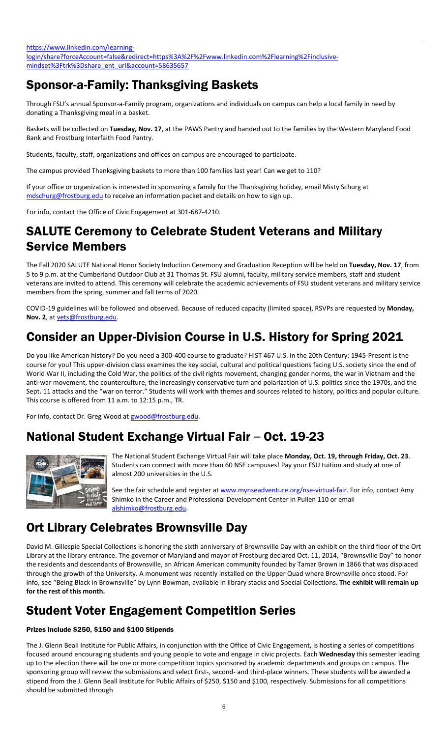https://www.linkedin.com/learning[login/share?forceAccount=false&redirect=https%3A%2F%2Fwww.linkedin.com%2Flearning%2Finclusive](https://www.linkedin.com/learning-login/share?forceAccount=false&redirect=https%3A%2F%2Fwww.linkedin.com%2Flearning%2Finclusive-mindset%3Ftrk%3Dshare_ent_url&account=58635657)[mindset%3Ftrk%3Dshare\\_ent\\_url&account=58635657](https://www.linkedin.com/learning-login/share?forceAccount=false&redirect=https%3A%2F%2Fwww.linkedin.com%2Flearning%2Finclusive-mindset%3Ftrk%3Dshare_ent_url&account=58635657)

# Sponsor-a-Family: Thanksgiving Baskets

Through FSU's annual Sponsor-a-Family program, organizations and individuals on campus can help a local family in need by donating a Thanksgiving meal in a basket.

Baskets will be collected on **Tuesday, Nov. 17**, at the PAWS Pantry and handed out to the families by the Western Maryland Food Bank and Frostburg Interfaith Food Pantry.

Students, faculty, staff, organizations and offices on campus are encouraged to participate.

The campus provided Thanksgiving baskets to more than 100 families last year! Can we get to 110?

If your office or organization is interested in sponsoring a family for the Thanksgiving holiday, email Misty Schurg at [mdschurg@frostburg.edu](mailto:mdschurg@frostburg.edu) to receive an information packet and details on how to sign up.

For info, contact the Office of Civic Engagement at 301-687-4210.

# SALUTE Ceremony to Celebrate Student Veterans and Military Service Members

The Fall 2020 SALUTE National Honor Society Induction Ceremony and Graduation Reception will be held on **Tuesday, Nov. 17**, from 5 to 9 p.m. at the Cumberland Outdoor Club at 31 Thomas St. FSU alumni, faculty, military service members, staff and student veterans are invited to attend. This ceremony will celebrate the academic achievements of FSU student veterans and military service members from the spring, summer and fall terms of 2020.

COVID-19 guidelines will be followed and observed. Because of reduced capacity (limited space), RSVPs are requested by **Monday, Nov. 2**, at [vets@frostburg.edu.](mailto:vets@frostburg.edu) 

# Consider an Upper-Division Course in U.S. History for Spring 2021

Do you like American history? Do you need a 300-400 course to graduate? HIST 467 U.S. in the 20th Century: 1945-Present is the course for you! This upper-division class examines the key social, cultural and political questions facing U.S. society since the end of World War II, including the Cold War, the politics of the civil rights movement, changing gender norms, the war in Vietnam and the anti-war movement, the counterculture, the increasingly conservative turn and polarization of U.S. politics since the 1970s, and the Sept. 11 attacks and the "war on terror." Students will work with themes and sources related to history, politics and popular culture. This course is offered from 11 a.m. to 12:15 p.m., TR.

For info, contact Dr. Greg Wood a[t gwood@frostburg.edu.](mailto:gwood@frostburg.edu)

# National Student Exchange Virtual Fair – Oct. 19-23



The National Student Exchange Virtual Fair will take place **Monday, Oct. 19, through Friday, Oct. 23**. Students can connect with more than 60 NSE campuses! Pay your FSU tuition and study at one of almost 200 universities in the U.S.

See the fair schedule and register a[t www.mynseadventure.org/nse-virtual-fair.](http://www.mynseadventure.org/nse-virtual-fair) For info, contact Amy Shimko in the Career and Professional Development Center in Pullen 110 or email [alshimko@frostburg.edu.](mailto:alshimko@frostburg.edu)

# Ort Library Celebrates Brownsville Day

David M. Gillespie Special Collections is honoring the sixth anniversary of Brownsville Day with an exhibit on the third floor of the Ort Library at the library entrance. The governor of Maryland and mayor of Frostburg declared Oct. 11, 2014, "Brownsville Day" to honor the residents and descendants of Brownsville, an African American community founded by Tamar Brown in 1866 that was displaced through the growth of the University. A monument was recently installed on the Upper Quad where Brownsville once stood. For info, see "Being Black in Brownsville" by Lynn Bowman, available in library stacks and Special Collections. **The exhibit will remain up for the rest of this month.**

# Student Voter Engagement Competition Series

### Prizes Include \$250, \$150 and \$100 Stipends

The J. Glenn Beall Institute for Public Affairs, in conjunction with the Office of Civic Engagement, is hosting a series of competitions focused around encouraging students and young people to vote and engage in civic projects. Each **Wednesday** this semester leading up to the election there will be one or more competition topics sponsored by academic departments and groups on campus. The sponsoring group will review the submissions and select first-, second- and third-place winners. These students will be awarded a stipend from the J. Glenn Beall Institute for Public Affairs of \$250, \$150 and \$100, respectively. Submissions for all competitions should be submitted through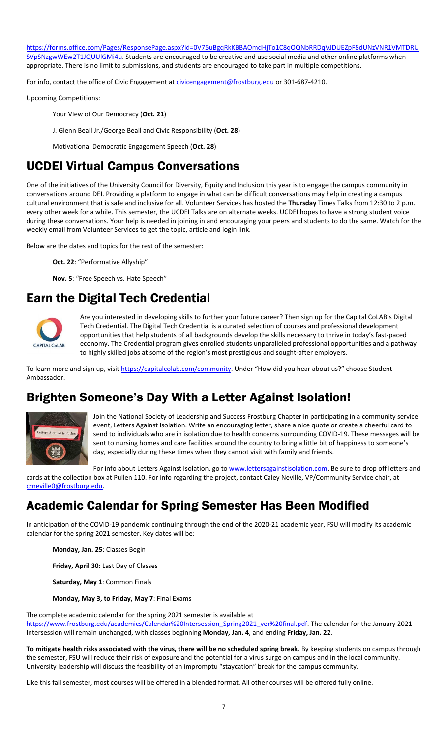[https://forms.office.com/Pages/ResponsePage.aspx?id=0V75uBgqRkKBBAOmdHjTo1C8qOQNbRRDqVJDUEZpF8dUNzVNR1VMTDRU](https://forms.office.com/Pages/ResponsePage.aspx?id=0V75uBgqRkKBBAOmdHjTo1C8qOQNbRRDqVJDUEZpF8dUNzVNR1VMTDRUSVpSNzgwWEw2T1JQUUlGMi4u) [SVpSNzgwWEw2T1JQUUlGMi4u.](https://forms.office.com/Pages/ResponsePage.aspx?id=0V75uBgqRkKBBAOmdHjTo1C8qOQNbRRDqVJDUEZpF8dUNzVNR1VMTDRUSVpSNzgwWEw2T1JQUUlGMi4u) Students are encouraged to be creative and use social media and other online platforms when appropriate. There is no limit to submissions, and students are encouraged to take part in multiple competitions.

For info, contact the office of Civic Engagement at [civicengagement@frostburg.edu](mailto:civicengagement@frostburg.edu) or 301-687-4210.

Upcoming Competitions:

Your View of Our Democracy (**Oct. 21**)

J. Glenn Beall Jr./George Beall and Civic Responsibility (**Oct. 28**)

Motivational Democratic Engagement Speech (**Oct. 28**)

### UCDEI Virtual Campus Conversations

One of the initiatives of the University Council for Diversity, Equity and Inclusion this year is to engage the campus community in conversations around DEI. Providing a platform to engage in what can be difficult conversations may help in creating a campus cultural environment that is safe and inclusive for all. Volunteer Services has hosted the **Thursday** Times Talks from 12:30 to 2 p.m. every other week for a while. This semester, the UCDEI Talks are on alternate weeks. UCDEI hopes to have a strong student voice during these conversations. Your help is needed in joining in and encouraging your peers and students to do the same. Watch for the weekly email from Volunteer Services to get the topic, article and login link.

Below are the dates and topics for the rest of the semester:

**Oct. 22**: "Performative Allyship"

**Nov. 5**: "Free Speech vs. Hate Speech"

# Earn the Digital Tech Credential



Are you interested in developing skills to further your future career? Then sign up for the Capital CoLAB's Digital Tech Credential. The Digital Tech Credential is a curated selection of courses and professional development opportunities that help students of all backgrounds develop the skills necessary to thrive in today's fast-paced economy. The Credential program gives enrolled students unparalleled professional opportunities and a pathway to highly skilled jobs at some of the region's most prestigious and sought-after employers.

To learn more and sign up, visi[t https://capitalcolab.com/community](https://capitalcolab.com/community). Under "How did you hear about us?" choose Student Ambassador.

# Brighten Someone's Day With a Letter Against Isolation!



Join the National Society of Leadership and Success Frostburg Chapter in participating in a community service event, Letters Against Isolation. Write an encouraging letter, share a nice quote or create a cheerful card to send to individuals who are in isolation due to health concerns surrounding COVID-19. These messages will be sent to nursing homes and care facilities around the country to bring a little bit of happiness to someone's day, especially during these times when they cannot visit with family and friends.

For info about Letters Against Isolation, go to [www.lettersagainstisolation.com.](http://www.lettersagainstisolation.com/) Be sure to drop off letters and

cards at the collection box at Pullen 110. For info regarding the project, contact Caley Neville, VP/Community Service chair, at [crneville0@frostburg.edu.](mailto:crneville0@frostburg.edu)

# Academic Calendar for Spring Semester Has Been Modified

In anticipation of the COVID-19 pandemic continuing through the end of the 2020-21 academic year, FSU will modify its academic calendar for the spring 2021 semester. Key dates will be:

**Monday, Jan. 25**: Classes Begin

**Friday, April 30**: Last Day of Classes

**Saturday, May 1**: Common Finals

**Monday, May 3, to Friday, May 7**: Final Exams

The complete academic calendar for the spring 2021 semester is available at [https://www.frostburg.edu/academics/Calendar%20Intersession\\_Spring2021\\_ver%20final.pdf.](https://www.frostburg.edu/academics/Calendar%20Intersession_Spring2021_ver%20final.pdf) The calendar for the January 2021 Intersession will remain unchanged, with classes beginning **Monday, Jan. 4**, and ending **Friday, Jan. 22**.

**To mitigate health risks associated with the virus, there will be no scheduled spring break.** By keeping students on campus through the semester, FSU will reduce their risk of exposure and the potential for a virus surge on campus and in the local community. University leadership will discuss the feasibility of an impromptu "staycation" break for the campus community.

Like this fall semester, most courses will be offered in a blended format. All other courses will be offered fully online.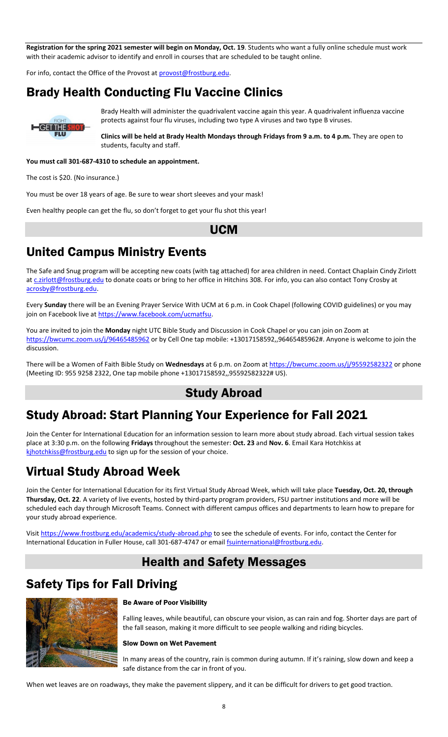**Registration for the spring 2021 semester will begin on Monday, Oct. 19**. Students who want a fully online schedule must work with their academic advisor to identify and enroll in courses that are scheduled to be taught online.

For info, contact the Office of the Provost a[t provost@frostburg.edu.](mailto:provost@frostburg.edu)

## Brady Health Conducting Flu Vaccine Clinics



Brady Health will administer the quadrivalent vaccine again this year. A quadrivalent influenza vaccine protects against four flu viruses, including two type A viruses and two type B viruses.

**Clinics will be held at Brady Health Mondays through Fridays from 9 a.m. to 4 p.m.** They are open to students, faculty and staff.

**You must call 301-687-4310 to schedule an appointment.**

The cost is \$20. (No insurance.)

You must be over 18 years of age. Be sure to wear short sleeves and your mask!

Even healthy people can get the flu, so don't forget to get your flu shot this year!

### UCM

### United Campus Ministry Events

The Safe and Snug program will be accepting new coats (with tag attached) for area children in need. Contact Chaplain Cindy Zirlott a[t c.zirlott@frostburg.edu](mailto:c.zirlott@frostburg.edu) to donate coats or bring to her office in Hitchins 308. For info, you can also contact Tony Crosby at [acrosby@frostburg.edu.](mailto:acrosby@frostburg.edu)

Every **Sunday** there will be an Evening Prayer Service With UCM at 6 p.m. in Cook Chapel (following COVID guidelines) or you may join on Facebook live at [https://www.facebook.com/ucmatfsu.](https://www.facebook.com/ucmatfsu)

You are invited to join the **Monday** night UTC Bible Study and Discussion in Cook Chapel or you can join on Zoom at <https://bwcumc.zoom.us/j/96465485962> or by Cell One tap mobile: +13017158592,,96465485962#. Anyone is welcome to join the discussion.

There will be a Women of Faith Bible Study on **Wednesdays** at 6 p.m. on Zoom at<https://bwcumc.zoom.us/j/95592582322> or phone (Meeting ID: 955 9258 2322, One tap mobile phone +13017158592,,95592582322# US).

### Study Abroad

### Study Abroad: Start Planning Your Experience for Fall 2021

Join the Center for International Education for an information session to learn more about study abroad. Each virtual session takes place at 3:30 p.m. on the following **Fridays** throughout the semester: **Oct. 23** and **Nov. 6**. Email Kara Hotchkiss at [kjhotchkiss@frostburg.edu](mailto:kjhotchkiss@frostburg.edu) to sign up for the session of your choice.

# Virtual Study Abroad Week

Join the Center for International Education for its first Virtual Study Abroad Week, which will take place **Tuesday, Oct. 20, through Thursday, Oct. 22**. A variety of live events, hosted by third-party program providers, FSU partner institutions and more will be scheduled each day through Microsoft Teams. Connect with different campus offices and departments to learn how to prepare for your study abroad experience.

Visit<https://www.frostburg.edu/academics/study-abroad.php> to see the schedule of events. For info, contact the Center for International Education in Fuller House, call 301-687-4747 or email [fsuinternational@frostburg.edu.](mailto:fsuinternational@frostburg.edu)

### Health and Safety Messages

# Safety Tips for Fall Driving



#### Be Aware of Poor Visibility

Falling leaves, while beautiful, can obscure your vision, as can rain and fog. Shorter days are part of the fall season, making it more difficult to see people walking and riding bicycles.

#### Slow Down on Wet Pavement

In many areas of the country, rain is common during autumn. If it's raining, slow down and keep a safe distance from the car in front of you.

When wet leaves are on roadways, they make the pavement slippery, and it can be difficult for drivers to get good traction.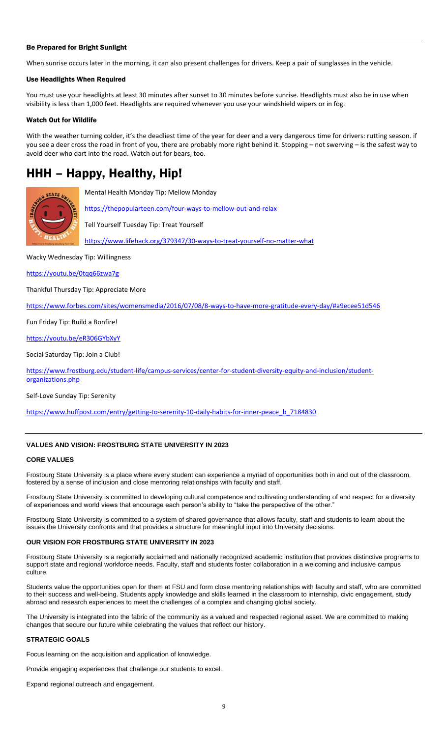#### Be Prepared for Bright Sunlight

When sunrise occurs later in the morning, it can also present challenges for drivers. Keep a pair of sunglasses in the vehicle.

#### Use Headlights When Required

You must use your headlights at least 30 minutes after sunset to 30 minutes before sunrise. Headlights must also be in use when visibility is less than 1,000 feet. Headlights are required whenever you use your windshield wipers or in fog.

#### Watch Out for Wildlife

With the weather turning colder, it's the deadliest time of the year for deer and a very dangerous time for drivers: rutting season. if you see a deer cross the road in front of you, there are probably more right behind it. Stopping – not swerving – is the safest way to avoid deer who dart into the road. Watch out for bears, too.

# HHH – Happy, Healthy, Hip!



Mental Health Monday Tip: Mellow Monday

<https://thepopularteen.com/four-ways-to-mellow-out-and-relax>

Tell Yourself Tuesday Tip: Treat Yourself

<https://www.lifehack.org/379347/30-ways-to-treat-yourself-no-matter-what>

Wacky Wednesday Tip: Willingness

<https://youtu.be/0tqq66zwa7g>

Thankful Thursday Tip: Appreciate More

<https://www.forbes.com/sites/womensmedia/2016/07/08/8-ways-to-have-more-gratitude-every-day/#a9ecee51d546>

Fun Friday Tip: Build a Bonfire!

<https://youtu.be/eR306GYbXyY>

Social Saturday Tip: Join a Club!

[https://www.frostburg.edu/student-life/campus-services/center-for-student-diversity-equity-and-inclusion/student](https://www.frostburg.edu/student-life/campus-services/center-for-student-diversity-equity-and-inclusion/student-organizations.php)[organizations.php](https://www.frostburg.edu/student-life/campus-services/center-for-student-diversity-equity-and-inclusion/student-organizations.php)

Self-Love Sunday Tip: Serenity

[https://www.huffpost.com/entry/getting-to-serenity-10-daily-habits-for-inner-peace\\_b\\_7184830](https://www.huffpost.com/entry/getting-to-serenity-10-daily-habits-for-inner-peace_b_7184830)

#### **VALUES AND VISION: FROSTBURG STATE UNIVERSITY IN 2023**

#### **CORE VALUES**

Frostburg State University is a place where every student can experience a myriad of opportunities both in and out of the classroom, fostered by a sense of inclusion and close mentoring relationships with faculty and staff.

Frostburg State University is committed to developing cultural competence and cultivating understanding of and respect for a diversity of experiences and world views that encourage each person's ability to "take the perspective of the other."

Frostburg State University is committed to a system of shared governance that allows faculty, staff and students to learn about the issues the University confronts and that provides a structure for meaningful input into University decisions.

#### **OUR VISION FOR FROSTBURG STATE UNIVERSITY IN 2023**

Frostburg State University is a regionally acclaimed and nationally recognized academic institution that provides distinctive programs to support state and regional workforce needs. Faculty, staff and students foster collaboration in a welcoming and inclusive campus culture.

Students value the opportunities open for them at FSU and form close mentoring relationships with faculty and staff, who are committed to their success and well-being. Students apply knowledge and skills learned in the classroom to internship, civic engagement, study abroad and research experiences to meet the challenges of a complex and changing global society.

The University is integrated into the fabric of the community as a valued and respected regional asset. We are committed to making changes that secure our future while celebrating the values that reflect our history.

#### **STRATEGIC GOALS**

Focus learning on the acquisition and application of knowledge.

Provide engaging experiences that challenge our students to excel.

Expand regional outreach and engagement.